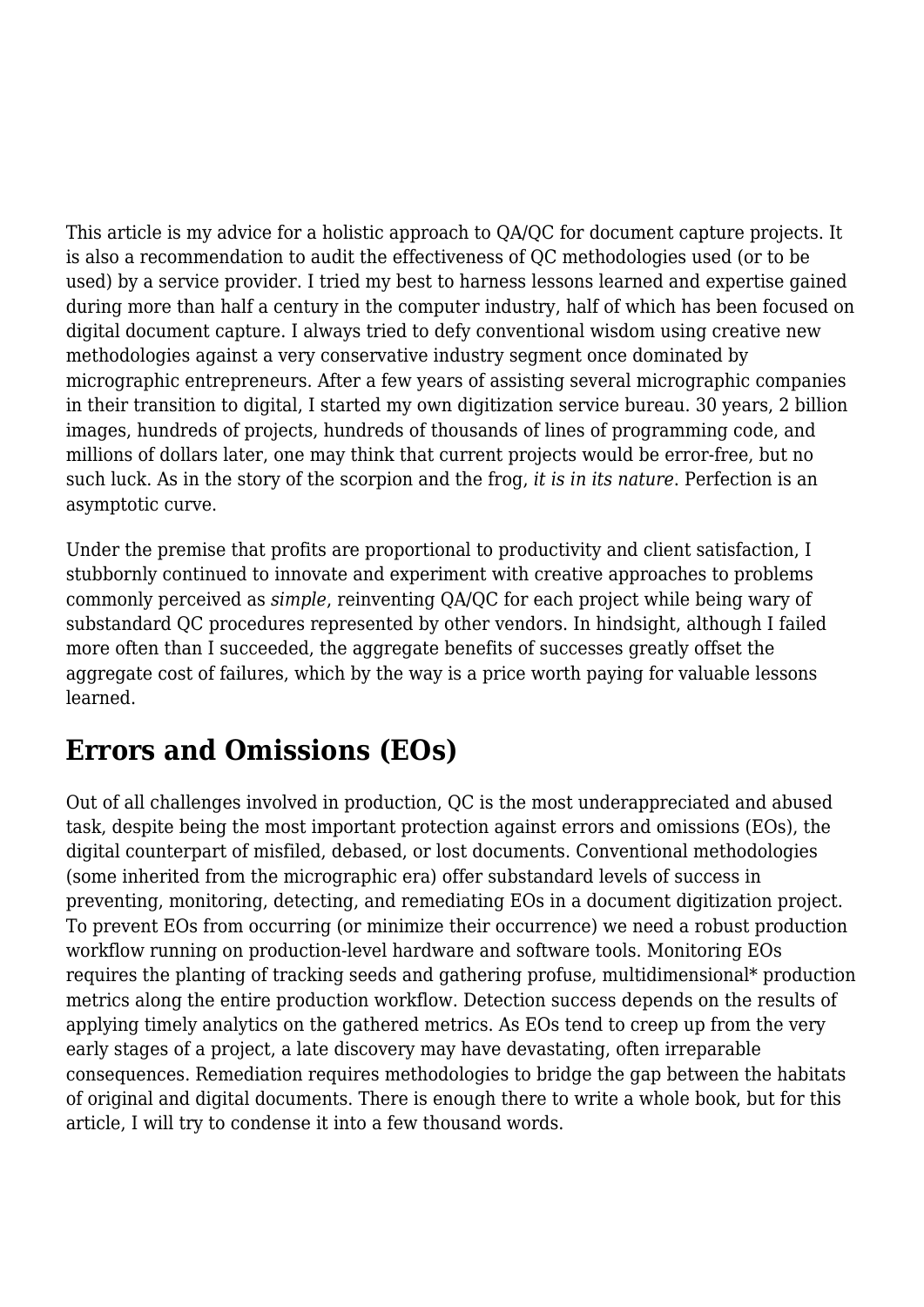This article is my advice for a holistic approach to QA/QC for document capture projects. It is also a recommendation to audit the effectiveness of QC methodologies used (or to be used) by a service provider. I tried my best to harness lessons learned and expertise gained during more than half a century in the computer industry, half of which has been focused on digital document capture. I always tried to defy conventional wisdom using creative new methodologies against a very conservative industry segment once dominated by micrographic entrepreneurs. After a few years of assisting several micrographic companies in their transition to digital, I started my own digitization service bureau. 30 years, 2 billion images, hundreds of projects, hundreds of thousands of lines of programming code, and millions of dollars later, one may think that current projects would be error-free, but no such luck. As in the story of the scorpion and the frog, *it is in its nature*. Perfection is an asymptotic curve.

Under the premise that profits are proportional to productivity and client satisfaction, I stubbornly continued to innovate and experiment with creative approaches to problems commonly perceived as *simple*, reinventing QA/QC for each project while being wary of substandard QC procedures represented by other vendors. In hindsight, although I failed more often than I succeeded, the aggregate benefits of successes greatly offset the aggregate cost of failures, which by the way is a price worth paying for valuable lessons learned.

### **Errors and Omissions (EOs)**

Out of all challenges involved in production, QC is the most underappreciated and abused task, despite being the most important protection against errors and omissions (EOs), the digital counterpart of misfiled, debased, or lost documents. Conventional methodologies (some inherited from the micrographic era) offer substandard levels of success in preventing, monitoring, detecting, and remediating EOs in a document digitization project. To prevent EOs from occurring (or minimize their occurrence) we need a robust production workflow running on production-level hardware and software tools. Monitoring EOs requires the planting of tracking seeds and gathering profuse, multidimensional\* production metrics along the entire production workflow. Detection success depends on the results of applying timely analytics on the gathered metrics. As EOs tend to creep up from the very early stages of a project, a late discovery may have devastating, often irreparable consequences. Remediation requires methodologies to bridge the gap between the habitats of original and digital documents. There is enough there to write a whole book, but for this article, I will try to condense it into a few thousand words.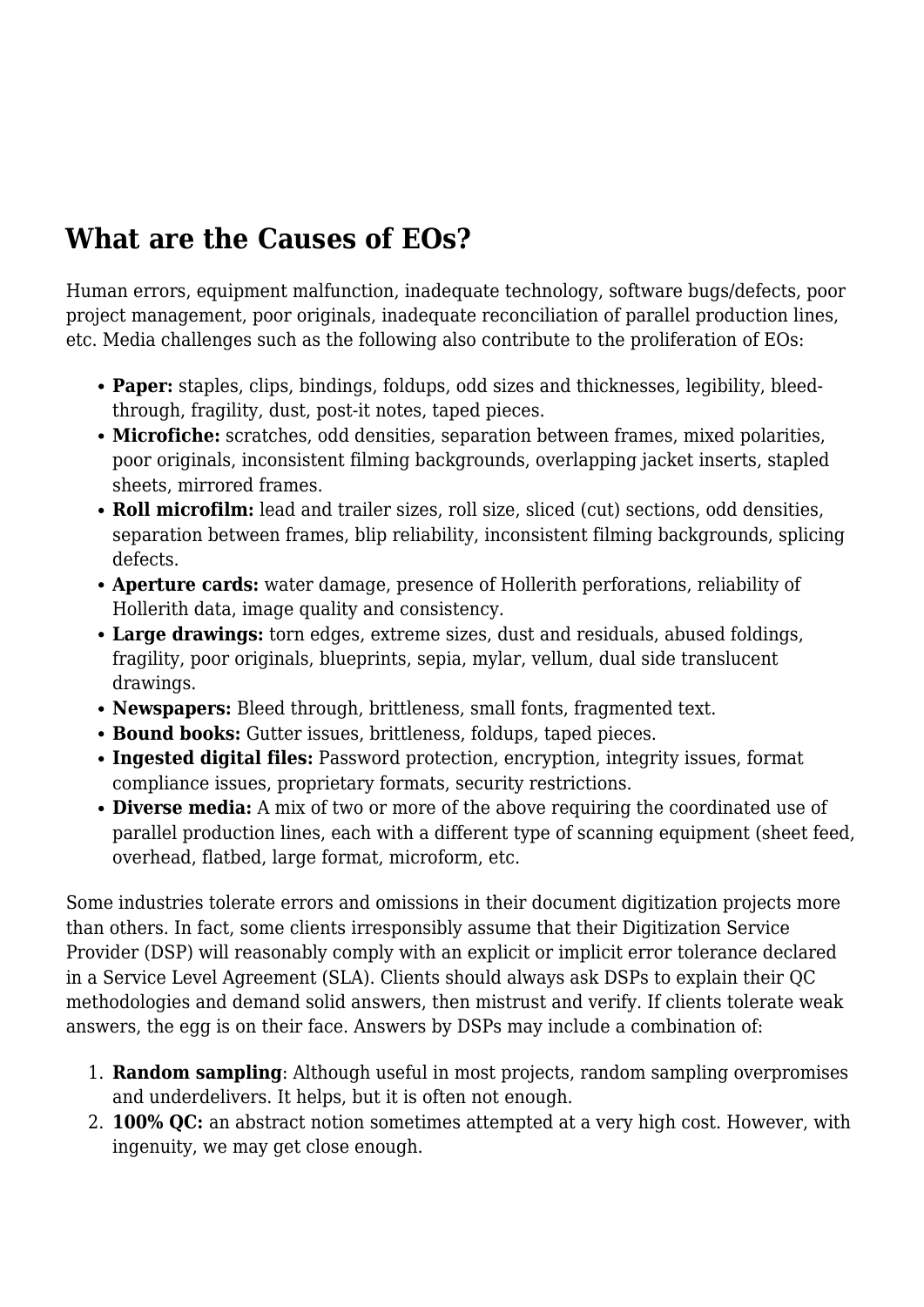# **What are the Causes of EOs?**

Human errors, equipment malfunction, inadequate technology, software bugs/defects, poor project management, poor originals, inadequate reconciliation of parallel production lines, etc. Media challenges such as the following also contribute to the proliferation of EOs:

- **Paper:** staples, clips, bindings, foldups, odd sizes and thicknesses, legibility, bleedthrough, fragility, dust, post-it notes, taped pieces.
- **Microfiche:** scratches, odd densities, separation between frames, mixed polarities, poor originals, inconsistent filming backgrounds, overlapping jacket inserts, stapled sheets, mirrored frames.
- **Roll microfilm:** lead and trailer sizes, roll size, sliced (cut) sections, odd densities, separation between frames, blip reliability, inconsistent filming backgrounds, splicing defects.
- **Aperture cards:** water damage, presence of Hollerith perforations, reliability of Hollerith data, image quality and consistency.
- **Large drawings:** torn edges, extreme sizes, dust and residuals, abused foldings, fragility, poor originals, blueprints, sepia, mylar, vellum, dual side translucent drawings.
- **Newspapers:** Bleed through, brittleness, small fonts, fragmented text.
- **Bound books:** Gutter issues, brittleness, foldups, taped pieces.
- **Ingested digital files:** Password protection, encryption, integrity issues, format compliance issues, proprietary formats, security restrictions.
- **Diverse media:** A mix of two or more of the above requiring the coordinated use of parallel production lines, each with a different type of scanning equipment (sheet feed, overhead, flatbed, large format, microform, etc.

Some industries tolerate errors and omissions in their document digitization projects more than others. In fact, some clients irresponsibly assume that their Digitization Service Provider (DSP) will reasonably comply with an explicit or implicit error tolerance declared in a Service Level Agreement (SLA). Clients should always ask DSPs to explain their QC methodologies and demand solid answers, then mistrust and verify. If clients tolerate weak answers, the egg is on their face. Answers by DSPs may include a combination of:

- 1. **Random sampling**: Although useful in most projects, random sampling overpromises and underdelivers. It helps, but it is often not enough.
- 2. **100% QC:** an abstract notion sometimes attempted at a very high cost. However, with ingenuity, we may get close enough.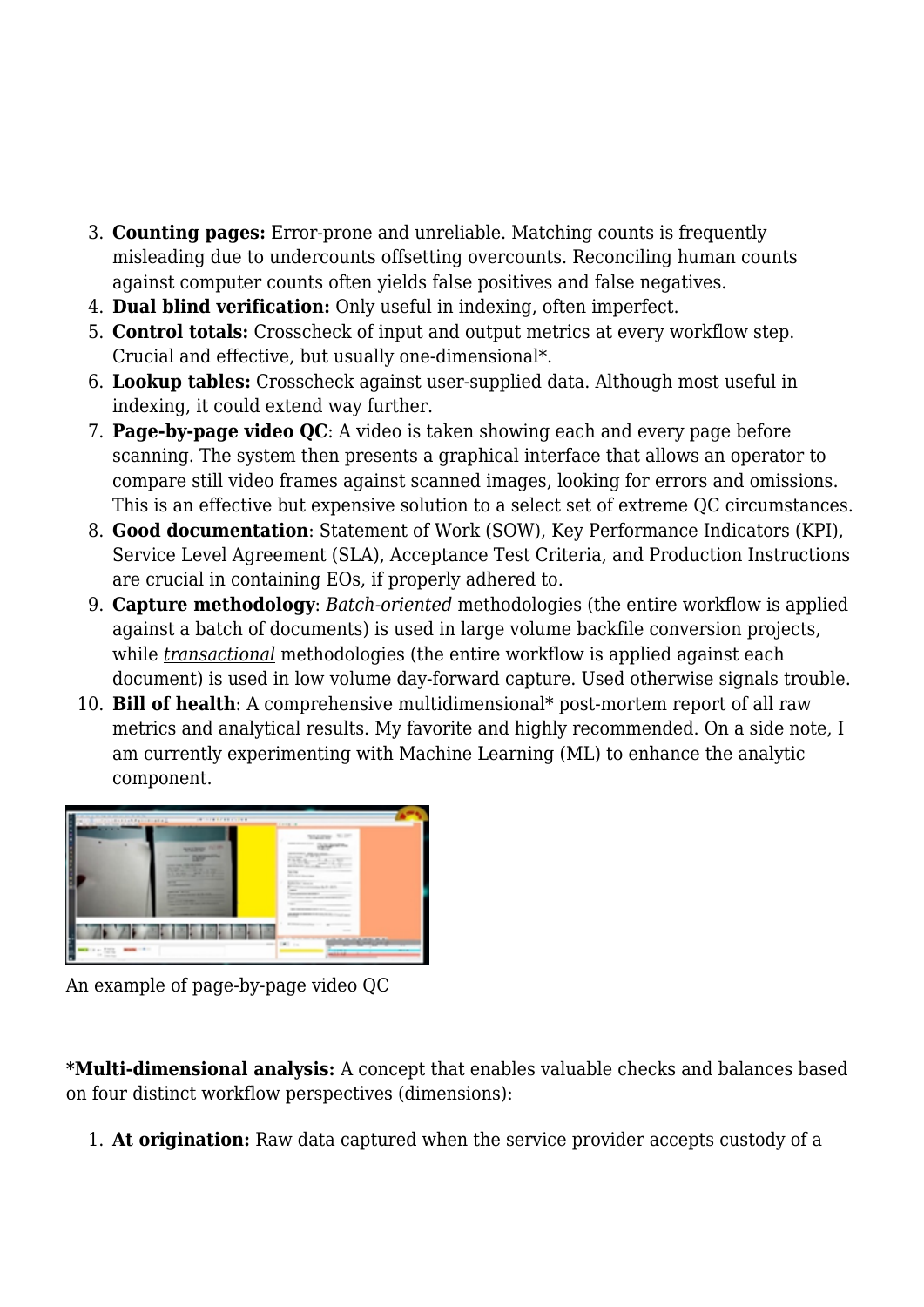- 3. **Counting pages:** Error-prone and unreliable. Matching counts is frequently misleading due to undercounts offsetting overcounts. Reconciling human counts against computer counts often yields false positives and false negatives.
- 4. **Dual blind verification:** Only useful in indexing, often imperfect.
- 5. **Control totals:** Crosscheck of input and output metrics at every workflow step. Crucial and effective, but usually one-dimensional\*.
- 6. **Lookup tables:** Crosscheck against user-supplied data. Although most useful in indexing, it could extend way further.
- 7. **Page-by-page video QC**: A video is taken showing each and every page before scanning. The system then presents a graphical interface that allows an operator to compare still video frames against scanned images, looking for errors and omissions. This is an effective but expensive solution to a select set of extreme QC circumstances.
- 8. **Good documentation**: Statement of Work (SOW), Key Performance Indicators (KPI), Service Level Agreement (SLA), Acceptance Test Criteria, and Production Instructions are crucial in containing EOs, if properly adhered to.
- 9. **Capture methodology**: *Batch-oriented* methodologies (the entire workflow is applied against a batch of documents) is used in large volume backfile conversion projects, while *transactional* methodologies (the entire workflow is applied against each document) is used in low volume day-forward capture. Used otherwise signals trouble.
- 10. **Bill of health**: A comprehensive multidimensional\* post-mortem report of all raw metrics and analytical results. My favorite and highly recommended. On a side note, I am currently experimenting with Machine Learning (ML) to enhance the analytic component.



An example of page-by-page video QC

**\*Multi-dimensional analysis:** A concept that enables valuable checks and balances based on four distinct workflow perspectives (dimensions):

1. **At origination:** Raw data captured when the service provider accepts custody of a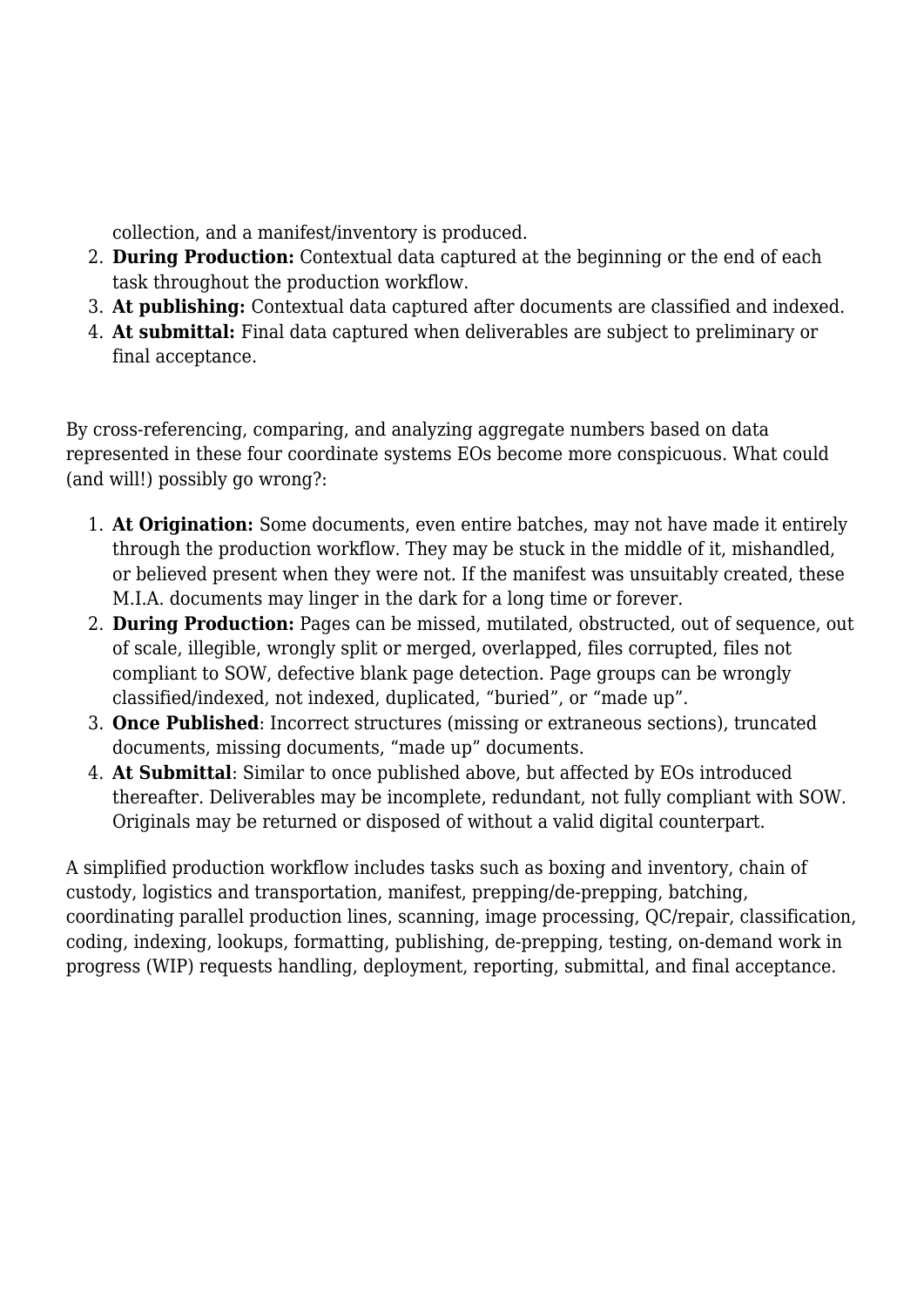collection, and a manifest/inventory is produced.

- 2. **During Production:** Contextual data captured at the beginning or the end of each task throughout the production workflow.
- 3. **At publishing:** Contextual data captured after documents are classified and indexed.
- 4. **At submittal:** Final data captured when deliverables are subject to preliminary or final acceptance.

By cross-referencing, comparing, and analyzing aggregate numbers based on data represented in these four coordinate systems EOs become more conspicuous. What could (and will!) possibly go wrong?:

- 1. **At Origination:** Some documents, even entire batches, may not have made it entirely through the production workflow. They may be stuck in the middle of it, mishandled, or believed present when they were not. If the manifest was unsuitably created, these M.I.A. documents may linger in the dark for a long time or forever.
- 2. **During Production:** Pages can be missed, mutilated, obstructed, out of sequence, out of scale, illegible, wrongly split or merged, overlapped, files corrupted, files not compliant to SOW, defective blank page detection. Page groups can be wrongly classified/indexed, not indexed, duplicated, "buried", or "made up".
- 3. **Once Published**: Incorrect structures (missing or extraneous sections), truncated documents, missing documents, "made up" documents.
- 4. **At Submittal**: Similar to once published above, but affected by EOs introduced thereafter. Deliverables may be incomplete, redundant, not fully compliant with SOW. Originals may be returned or disposed of without a valid digital counterpart.

A simplified production workflow includes tasks such as boxing and inventory, chain of custody, logistics and transportation, manifest, prepping/de-prepping, batching, coordinating parallel production lines, scanning, image processing, QC/repair, classification, coding, indexing, lookups, formatting, publishing, de-prepping, testing, on-demand work in progress (WIP) requests handling, deployment, reporting, submittal, and final acceptance.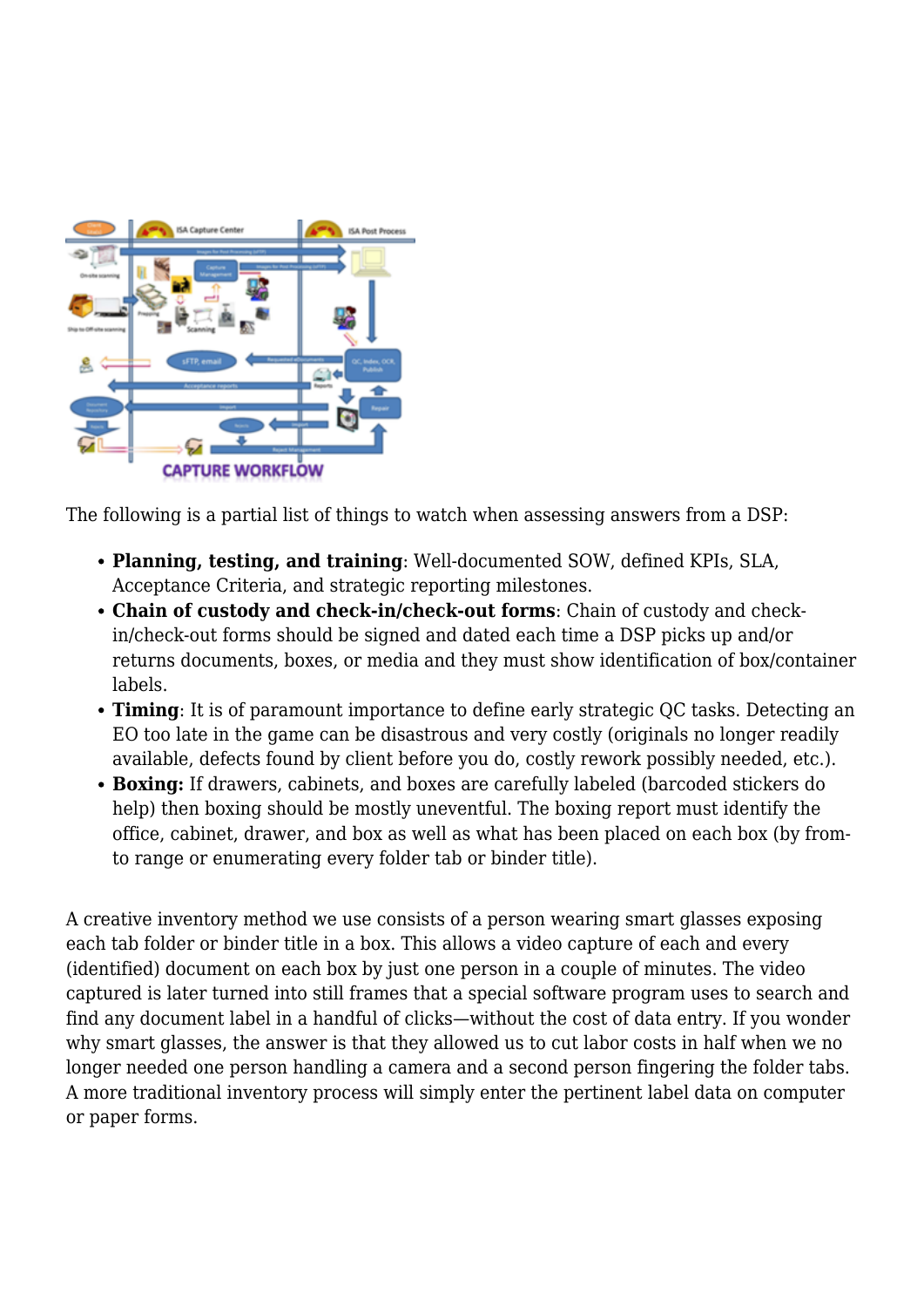

The following is a partial list of things to watch when assessing answers from a DSP:

- **Planning, testing, and training**: Well-documented SOW, defined KPIs, SLA, Acceptance Criteria, and strategic reporting milestones.
- **Chain of custody and check-in/check-out forms**: Chain of custody and checkin/check-out forms should be signed and dated each time a DSP picks up and/or returns documents, boxes, or media and they must show identification of box/container labels.
- **Timing**: It is of paramount importance to define early strategic QC tasks. Detecting an EO too late in the game can be disastrous and very costly (originals no longer readily available, defects found by client before you do, costly rework possibly needed, etc.).
- **Boxing:** If drawers, cabinets, and boxes are carefully labeled (barcoded stickers do help) then boxing should be mostly uneventful. The boxing report must identify the office, cabinet, drawer, and box as well as what has been placed on each box (by fromto range or enumerating every folder tab or binder title).

A creative inventory method we use consists of a person wearing smart glasses exposing each tab folder or binder title in a box. This allows a video capture of each and every (identified) document on each box by just one person in a couple of minutes. The video captured is later turned into still frames that a special software program uses to search and find any document label in a handful of clicks—without the cost of data entry. If you wonder why smart glasses, the answer is that they allowed us to cut labor costs in half when we no longer needed one person handling a camera and a second person fingering the folder tabs. A more traditional inventory process will simply enter the pertinent label data on computer or paper forms.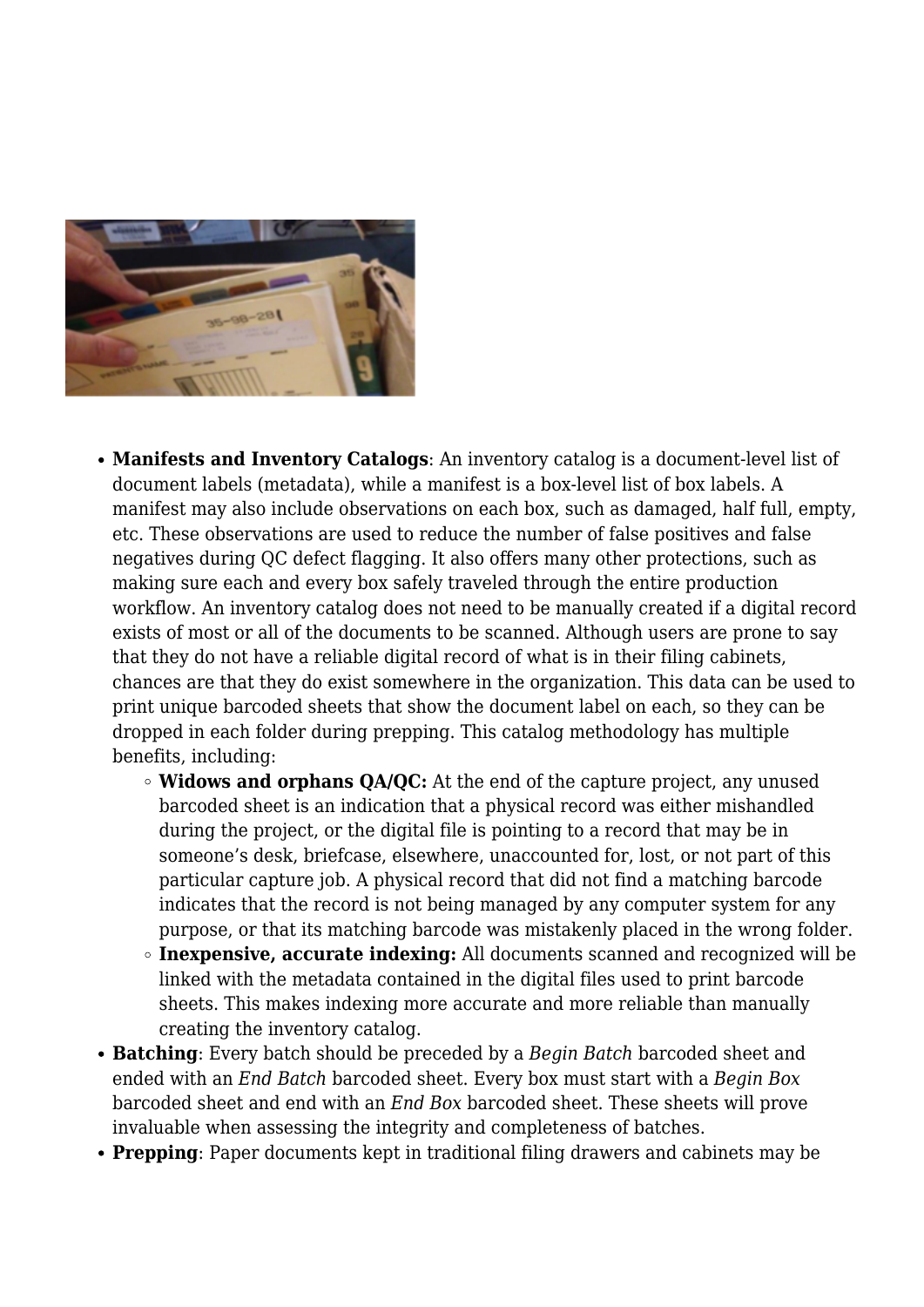

- **Manifests and Inventory Catalogs**: An inventory catalog is a document-level list of document labels (metadata), while a manifest is a box-level list of box labels. A manifest may also include observations on each box, such as damaged, half full, empty, etc. These observations are used to reduce the number of false positives and false negatives during QC defect flagging. It also offers many other protections, such as making sure each and every box safely traveled through the entire production workflow. An inventory catalog does not need to be manually created if a digital record exists of most or all of the documents to be scanned. Although users are prone to say that they do not have a reliable digital record of what is in their filing cabinets, chances are that they do exist somewhere in the organization. This data can be used to print unique barcoded sheets that show the document label on each, so they can be dropped in each folder during prepping. This catalog methodology has multiple benefits, including:
	- **Widows and orphans QA/QC:** At the end of the capture project, any unused barcoded sheet is an indication that a physical record was either mishandled during the project, or the digital file is pointing to a record that may be in someone's desk, briefcase, elsewhere, unaccounted for, lost, or not part of this particular capture job. A physical record that did not find a matching barcode indicates that the record is not being managed by any computer system for any purpose, or that its matching barcode was mistakenly placed in the wrong folder.
	- **Inexpensive, accurate indexing:** All documents scanned and recognized will be linked with the metadata contained in the digital files used to print barcode sheets. This makes indexing more accurate and more reliable than manually creating the inventory catalog.
- **Batching**: Every batch should be preceded by a *Begin Batch* barcoded sheet and ended with an *End Batch* barcoded sheet. Every box must start with a *Begin Box* barcoded sheet and end with an *End Box* barcoded sheet. These sheets will prove invaluable when assessing the integrity and completeness of batches.
- **Prepping**: Paper documents kept in traditional filing drawers and cabinets may be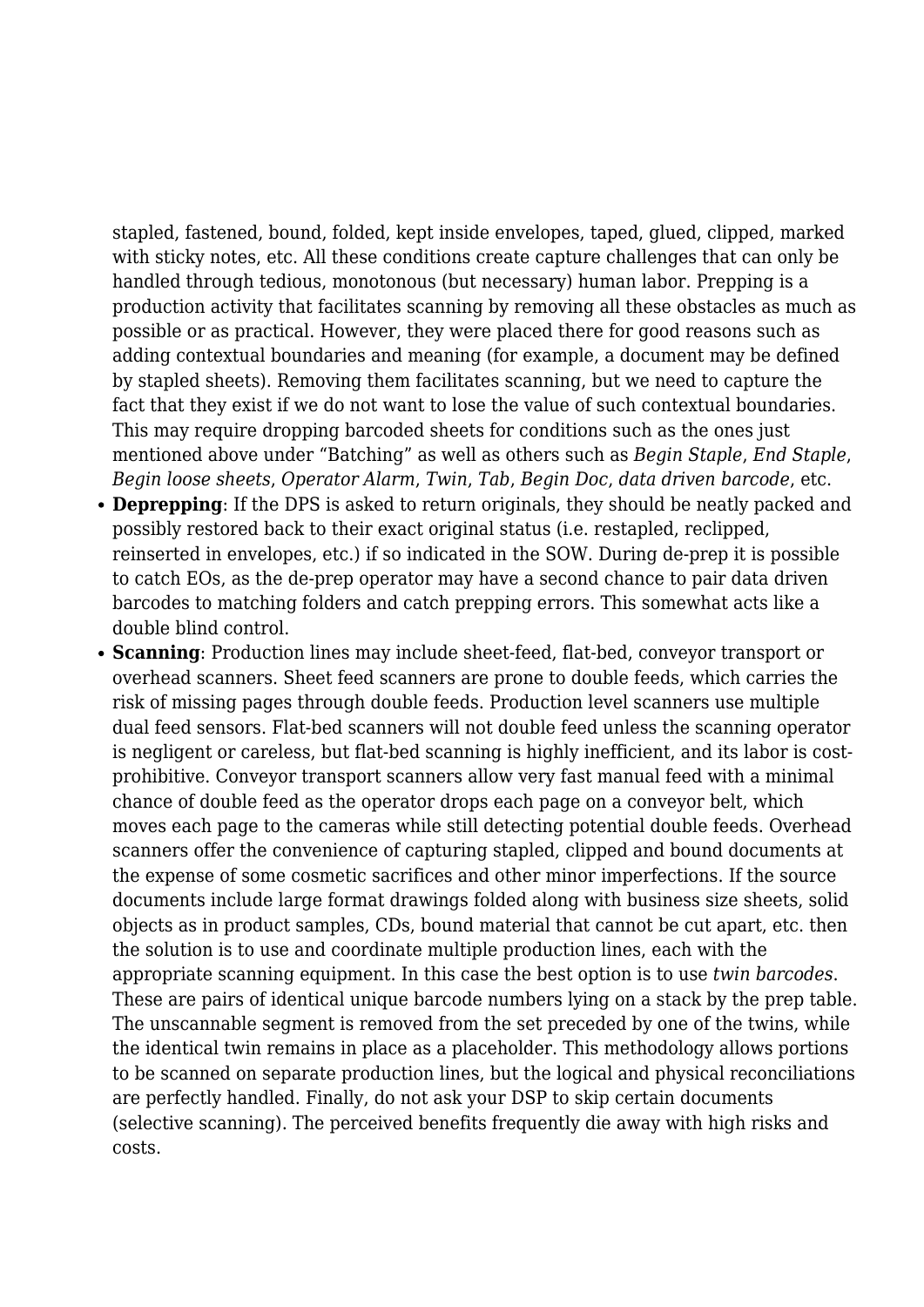stapled, fastened, bound, folded, kept inside envelopes, taped, glued, clipped, marked with sticky notes, etc. All these conditions create capture challenges that can only be handled through tedious, monotonous (but necessary) human labor. Prepping is a production activity that facilitates scanning by removing all these obstacles as much as possible or as practical. However, they were placed there for good reasons such as adding contextual boundaries and meaning (for example, a document may be defined by stapled sheets). Removing them facilitates scanning, but we need to capture the fact that they exist if we do not want to lose the value of such contextual boundaries. This may require dropping barcoded sheets for conditions such as the ones just mentioned above under "Batching" as well as others such as *Begin Staple*, *End Staple*, *Begin loose sheets*, *Operator Alarm*, *Twin*, *Tab*, *Begin Doc*, *data driven barcode*, etc.

- **Deprepping**: If the DPS is asked to return originals, they should be neatly packed and possibly restored back to their exact original status (i.e. restapled, reclipped, reinserted in envelopes, etc.) if so indicated in the SOW. During de-prep it is possible to catch EOs, as the de-prep operator may have a second chance to pair data driven barcodes to matching folders and catch prepping errors. This somewhat acts like a double blind control.
- **Scanning**: Production lines may include sheet-feed, flat-bed, conveyor transport or overhead scanners. Sheet feed scanners are prone to double feeds, which carries the risk of missing pages through double feeds. Production level scanners use multiple dual feed sensors. Flat-bed scanners will not double feed unless the scanning operator is negligent or careless, but flat-bed scanning is highly inefficient, and its labor is costprohibitive. Conveyor transport scanners allow very fast manual feed with a minimal chance of double feed as the operator drops each page on a conveyor belt, which moves each page to the cameras while still detecting potential double feeds. Overhead scanners offer the convenience of capturing stapled, clipped and bound documents at the expense of some cosmetic sacrifices and other minor imperfections. If the source documents include large format drawings folded along with business size sheets, solid objects as in product samples, CDs, bound material that cannot be cut apart, etc. then the solution is to use and coordinate multiple production lines, each with the appropriate scanning equipment. In this case the best option is to use *twin barcodes*. These are pairs of identical unique barcode numbers lying on a stack by the prep table. The unscannable segment is removed from the set preceded by one of the twins, while the identical twin remains in place as a placeholder. This methodology allows portions to be scanned on separate production lines, but the logical and physical reconciliations are perfectly handled. Finally, do not ask your DSP to skip certain documents (selective scanning). The perceived benefits frequently die away with high risks and costs.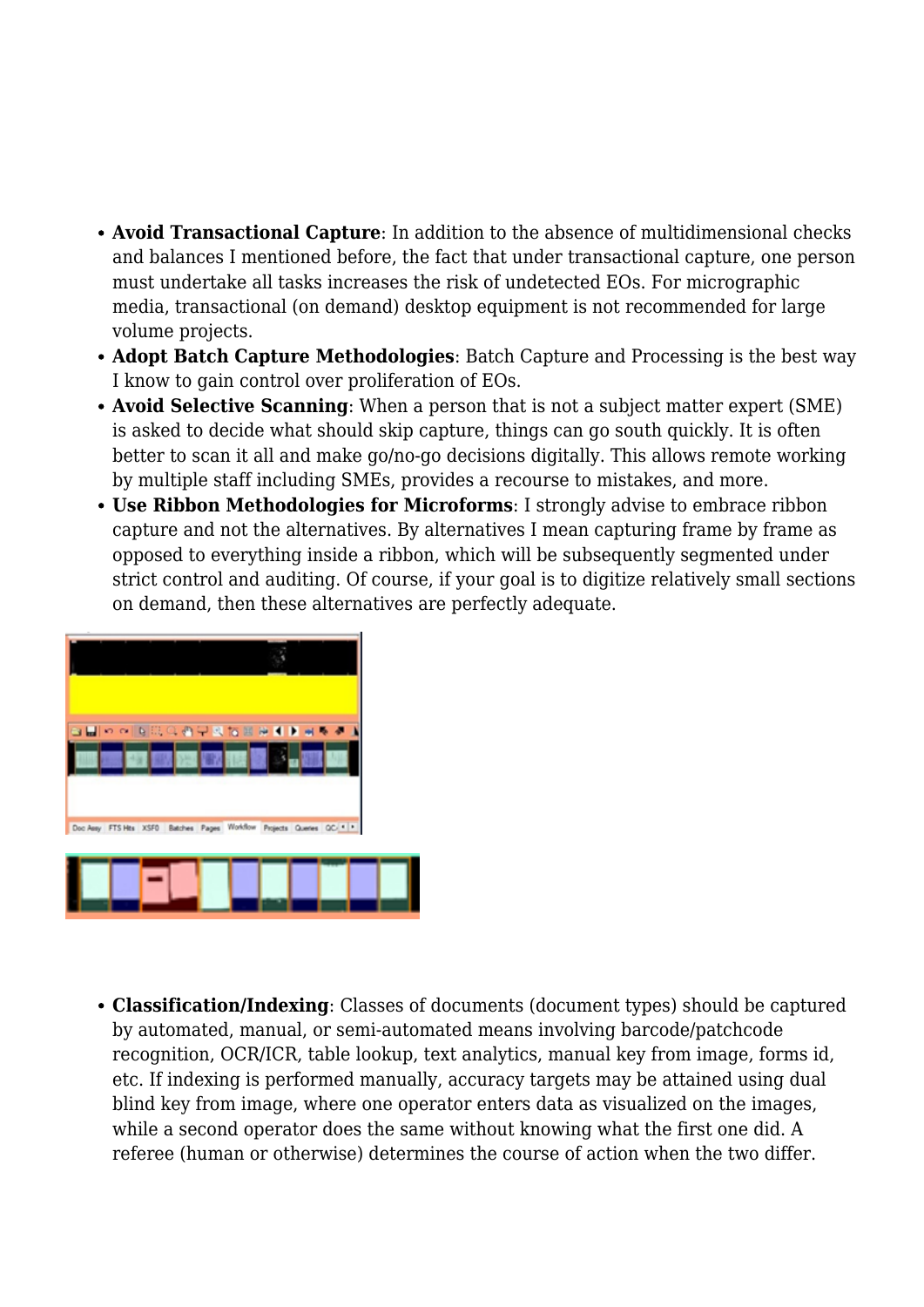- **Avoid Transactional Capture**: In addition to the absence of multidimensional checks and balances I mentioned before, the fact that under transactional capture, one person must undertake all tasks increases the risk of undetected EOs. For micrographic media, transactional (on demand) desktop equipment is not recommended for large volume projects.
- **Adopt Batch Capture Methodologies**: Batch Capture and Processing is the best way I know to gain control over proliferation of EOs.
- **Avoid Selective Scanning**: When a person that is not a subject matter expert (SME) is asked to decide what should skip capture, things can go south quickly. It is often better to scan it all and make go/no-go decisions digitally. This allows remote working by multiple staff including SMEs, provides a recourse to mistakes, and more.
- **Use Ribbon Methodologies for Microforms**: I strongly advise to embrace ribbon capture and not the alternatives. By alternatives I mean capturing frame by frame as opposed to everything inside a ribbon, which will be subsequently segmented under strict control and auditing. Of course, if your goal is to digitize relatively small sections on demand, then these alternatives are perfectly adequate.



• **Classification/Indexing**: Classes of documents (document types) should be captured by automated, manual, or semi-automated means involving barcode/patchcode recognition, OCR/ICR, table lookup, text analytics, manual key from image, forms id, etc. If indexing is performed manually, accuracy targets may be attained using dual blind key from image, where one operator enters data as visualized on the images, while a second operator does the same without knowing what the first one did. A referee (human or otherwise) determines the course of action when the two differ.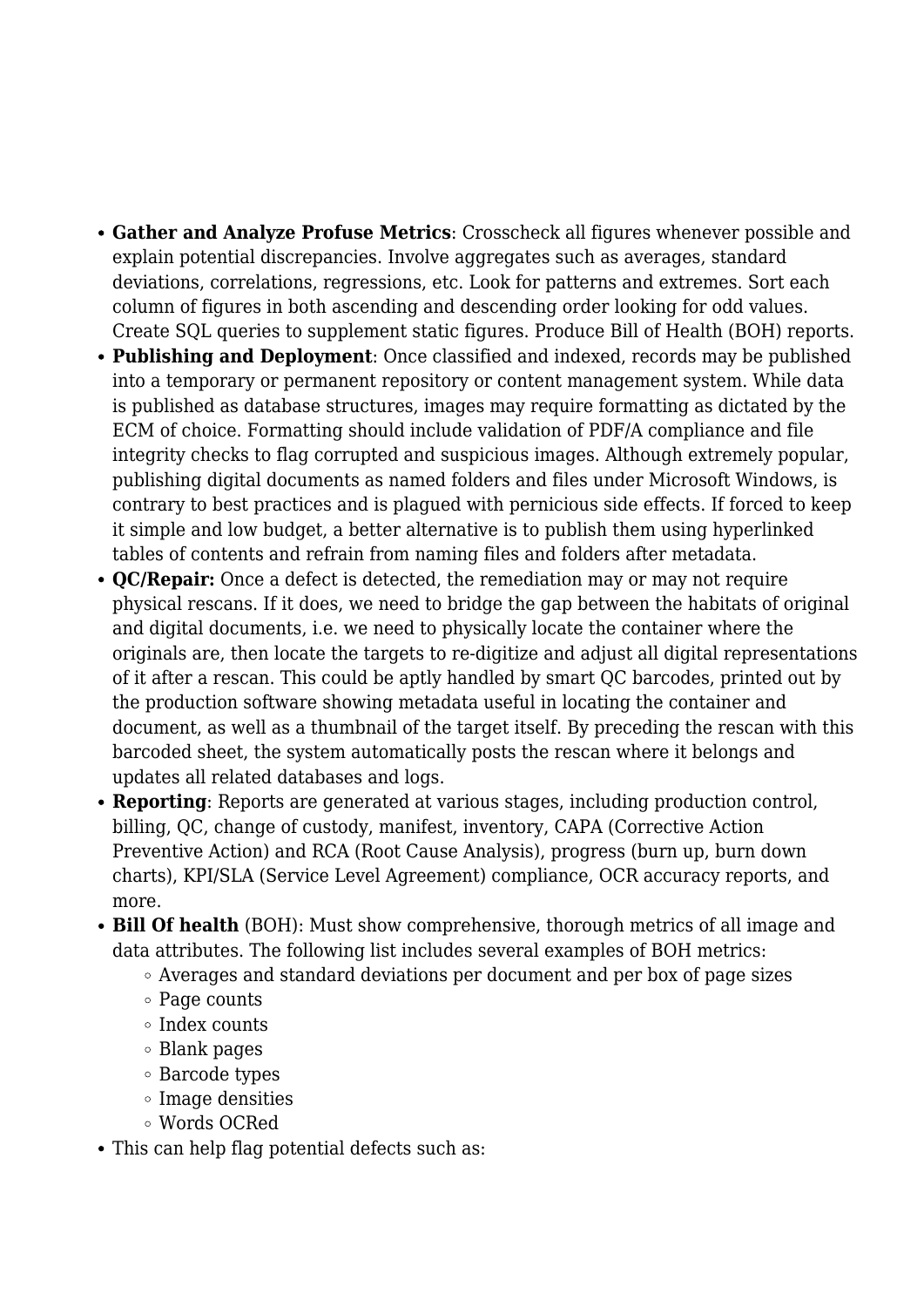- **Gather and Analyze Profuse Metrics**: Crosscheck all figures whenever possible and explain potential discrepancies. Involve aggregates such as averages, standard deviations, correlations, regressions, etc. Look for patterns and extremes. Sort each column of figures in both ascending and descending order looking for odd values. Create SQL queries to supplement static figures. Produce Bill of Health (BOH) reports.
- **Publishing and Deployment**: Once classified and indexed, records may be published into a temporary or permanent repository or content management system. While data is published as database structures, images may require formatting as dictated by the ECM of choice. Formatting should include validation of PDF/A compliance and file integrity checks to flag corrupted and suspicious images. Although extremely popular, publishing digital documents as named folders and files under Microsoft Windows, is contrary to best practices and is plagued with pernicious side effects. If forced to keep it simple and low budget, a better alternative is to publish them using hyperlinked tables of contents and refrain from naming files and folders after metadata.
- **QC/Repair:** Once a defect is detected, the remediation may or may not require physical rescans. If it does, we need to bridge the gap between the habitats of original and digital documents, i.e. we need to physically locate the container where the originals are, then locate the targets to re-digitize and adjust all digital representations of it after a rescan. This could be aptly handled by smart QC barcodes, printed out by the production software showing metadata useful in locating the container and document, as well as a thumbnail of the target itself. By preceding the rescan with this barcoded sheet, the system automatically posts the rescan where it belongs and updates all related databases and logs.
- **Reporting**: Reports are generated at various stages, including production control, billing, QC, change of custody, manifest, inventory, CAPA (Corrective Action Preventive Action) and RCA (Root Cause Analysis), progress (burn up, burn down charts), KPI/SLA (Service Level Agreement) compliance, OCR accuracy reports, and more.
- **Bill Of health** (BOH): Must show comprehensive, thorough metrics of all image and data attributes. The following list includes several examples of BOH metrics:
	- Averages and standard deviations per document and per box of page sizes
	- Page counts
	- o Index counts
	- Blank pages
	- Barcode types
	- Image densities
	- Words OCRed
- This can help flag potential defects such as: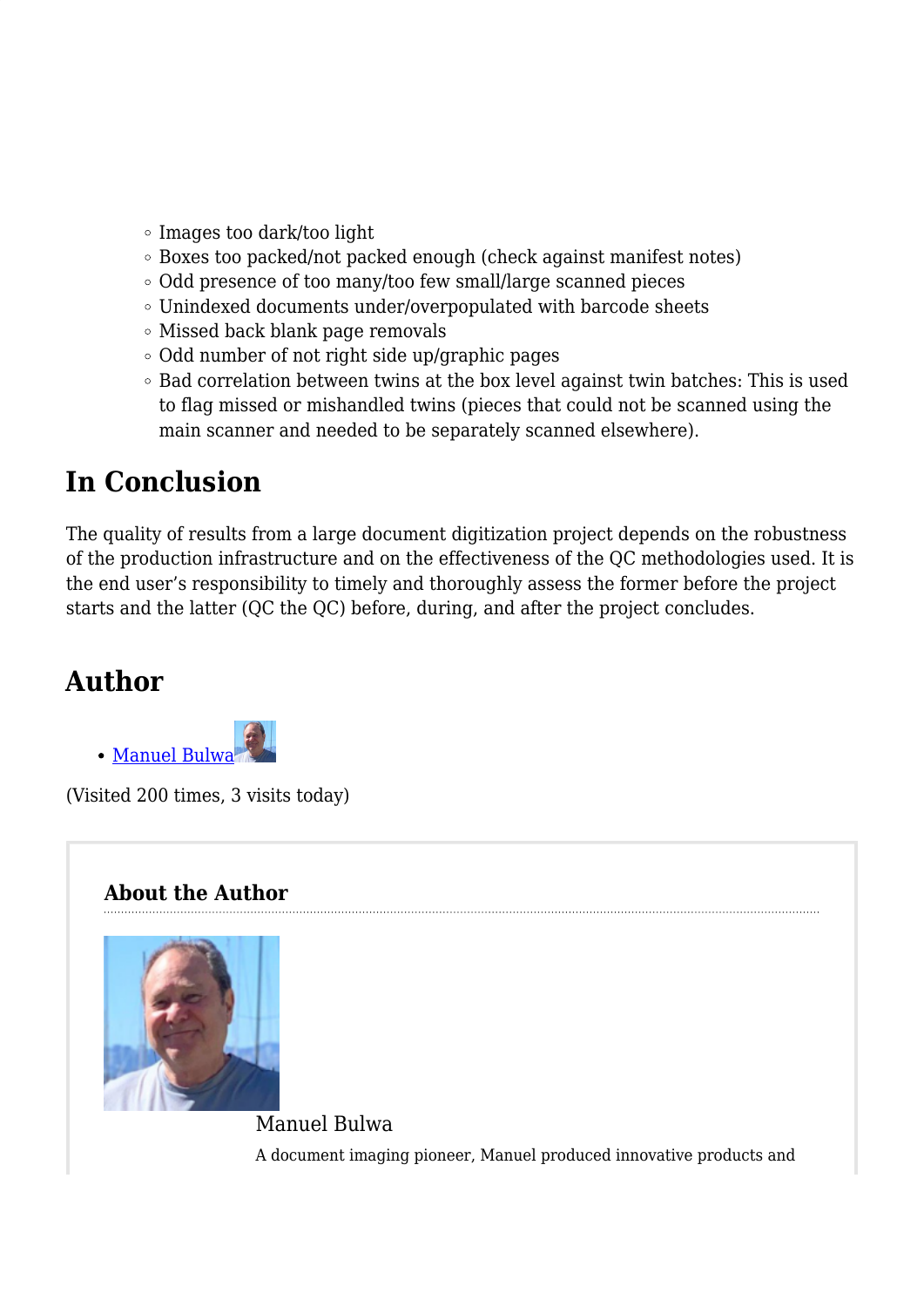- Images too dark/too light
- Boxes too packed/not packed enough (check against manifest notes)
- Odd presence of too many/too few small/large scanned pieces
- Unindexed documents under/overpopulated with barcode sheets
- Missed back blank page removals
- Odd number of not right side up/graphic pages
- Bad correlation between twins at the box level against twin batches: This is used to flag missed or mishandled twins (pieces that could not be scanned using the main scanner and needed to be separately scanned elsewhere).

# **In Conclusion**

The quality of results from a large document digitization project depends on the robustness of the production infrastructure and on the effectiveness of the QC methodologies used. It is the end user's responsibility to timely and thoroughly assess the former before the project starts and the latter (QC the QC) before, during, and after the project concludes.

# **Author**



(Visited 200 times, 3 visits today)

### **About the Author**



Manuel Bulwa A document imaging pioneer, Manuel produced innovative products and